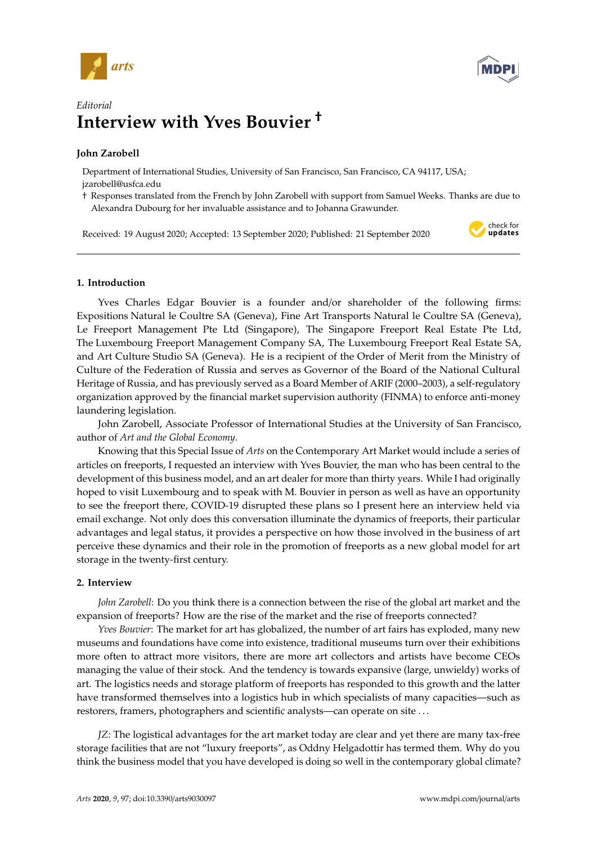



## *Editorial* **Interview with Yves Bouvier** †

## **John Zarobell**

Department of International Studies, University of San Francisco, San Francisco, CA 94117, USA; jzarobell@usfca.edu

† Responses translated from the French by John Zarobell with support from Samuel Weeks. Thanks are due to Alexandra Dubourg for her invaluable assistance and to Johanna Grawunder.

Received: 19 August 2020; Accepted: 13 September 2020; Published: 21 September 2020



## **1. Introduction**

Yves Charles Edgar Bouvier is a founder and/or shareholder of the following firms: Expositions Natural le Coultre SA (Geneva), Fine Art Transports Natural le Coultre SA (Geneva), Le Freeport Management Pte Ltd (Singapore), The Singapore Freeport Real Estate Pte Ltd, The Luxembourg Freeport Management Company SA, The Luxembourg Freeport Real Estate SA, and Art Culture Studio SA (Geneva). He is a recipient of the Order of Merit from the Ministry of Culture of the Federation of Russia and serves as Governor of the Board of the National Cultural Heritage of Russia, and has previously served as a Board Member of ARIF (2000–2003), a self-regulatory organization approved by the financial market supervision authority (FINMA) to enforce anti-money laundering legislation.

John Zarobell, Associate Professor of International Studies at the University of San Francisco, author of *Art and the Global Economy*.

Knowing that this Special Issue of *Arts* on the Contemporary Art Market would include a series of articles on freeports, I requested an interview with Yves Bouvier, the man who has been central to the development of this business model, and an art dealer for more than thirty years. While I had originally hoped to visit Luxembourg and to speak with M. Bouvier in person as well as have an opportunity to see the freeport there, COVID-19 disrupted these plans so I present here an interview held via email exchange. Not only does this conversation illuminate the dynamics of freeports, their particular advantages and legal status, it provides a perspective on how those involved in the business of art perceive these dynamics and their role in the promotion of freeports as a new global model for art storage in the twenty-first century.

## **2. Interview**

*John Zarobell*: Do you think there is a connection between the rise of the global art market and the expansion of freeports? How are the rise of the market and the rise of freeports connected?

*Yves Bouvier*: The market for art has globalized, the number of art fairs has exploded, many new museums and foundations have come into existence, traditional museums turn over their exhibitions more often to attract more visitors, there are more art collectors and artists have become CEOs managing the value of their stock. And the tendency is towards expansive (large, unwieldy) works of art. The logistics needs and storage platform of freeports has responded to this growth and the latter have transformed themselves into a logistics hub in which specialists of many capacities—such as restorers, framers, photographers and scientific analysts—can operate on site . . .

*JZ*: The logistical advantages for the art market today are clear and yet there are many tax-free storage facilities that are not "luxury freeports", as Oddny Helgadottir has termed them. Why do you think the business model that you have developed is doing so well in the contemporary global climate?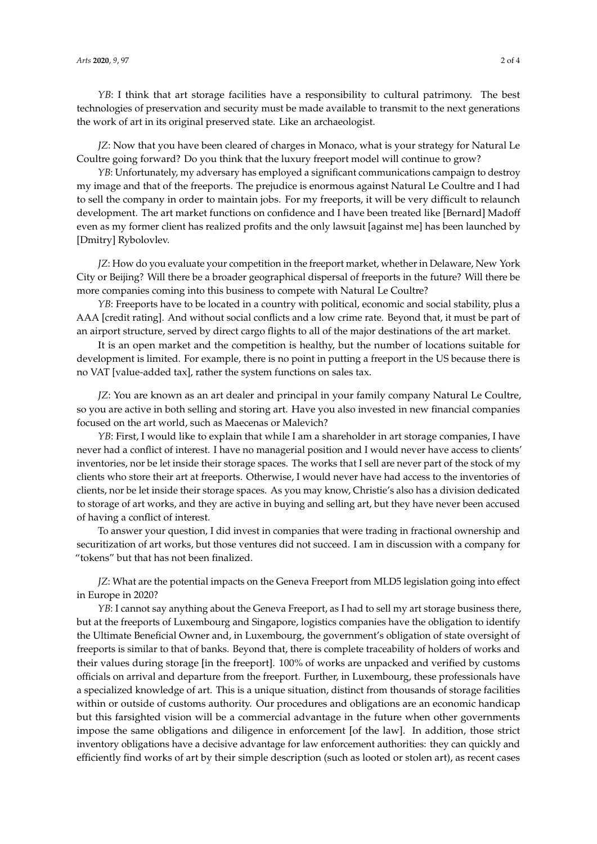*YB*: I think that art storage facilities have a responsibility to cultural patrimony. The best technologies of preservation and security must be made available to transmit to the next generations the work of art in its original preserved state. Like an archaeologist.

*JZ*: Now that you have been cleared of charges in Monaco, what is your strategy for Natural Le Coultre going forward? Do you think that the luxury freeport model will continue to grow?

*YB*: Unfortunately, my adversary has employed a significant communications campaign to destroy my image and that of the freeports. The prejudice is enormous against Natural Le Coultre and I had to sell the company in order to maintain jobs. For my freeports, it will be very difficult to relaunch development. The art market functions on confidence and I have been treated like [Bernard] Madoff even as my former client has realized profits and the only lawsuit [against me] has been launched by [Dmitry] Rybolovlev.

*JZ*: How do you evaluate your competition in the freeport market, whether in Delaware, New York City or Beijing? Will there be a broader geographical dispersal of freeports in the future? Will there be more companies coming into this business to compete with Natural Le Coultre?

*YB*: Freeports have to be located in a country with political, economic and social stability, plus a AAA [credit rating]. And without social conflicts and a low crime rate. Beyond that, it must be part of an airport structure, served by direct cargo flights to all of the major destinations of the art market.

It is an open market and the competition is healthy, but the number of locations suitable for development is limited. For example, there is no point in putting a freeport in the US because there is no VAT [value-added tax], rather the system functions on sales tax.

*JZ*: You are known as an art dealer and principal in your family company Natural Le Coultre, so you are active in both selling and storing art. Have you also invested in new financial companies focused on the art world, such as Maecenas or Malevich?

*YB*: First, I would like to explain that while I am a shareholder in art storage companies, I have never had a conflict of interest. I have no managerial position and I would never have access to clients' inventories, nor be let inside their storage spaces. The works that I sell are never part of the stock of my clients who store their art at freeports. Otherwise, I would never have had access to the inventories of clients, nor be let inside their storage spaces. As you may know, Christie's also has a division dedicated to storage of art works, and they are active in buying and selling art, but they have never been accused of having a conflict of interest.

To answer your question, I did invest in companies that were trading in fractional ownership and securitization of art works, but those ventures did not succeed. I am in discussion with a company for "tokens" but that has not been finalized.

*JZ*: What are the potential impacts on the Geneva Freeport from MLD5 legislation going into effect in Europe in 2020?

*YB*: I cannot say anything about the Geneva Freeport, as I had to sell my art storage business there, but at the freeports of Luxembourg and Singapore, logistics companies have the obligation to identify the Ultimate Beneficial Owner and, in Luxembourg, the government's obligation of state oversight of freeports is similar to that of banks. Beyond that, there is complete traceability of holders of works and their values during storage [in the freeport]. 100% of works are unpacked and verified by customs officials on arrival and departure from the freeport. Further, in Luxembourg, these professionals have a specialized knowledge of art. This is a unique situation, distinct from thousands of storage facilities within or outside of customs authority. Our procedures and obligations are an economic handicap but this farsighted vision will be a commercial advantage in the future when other governments impose the same obligations and diligence in enforcement [of the law]. In addition, those strict inventory obligations have a decisive advantage for law enforcement authorities: they can quickly and efficiently find works of art by their simple description (such as looted or stolen art), as recent cases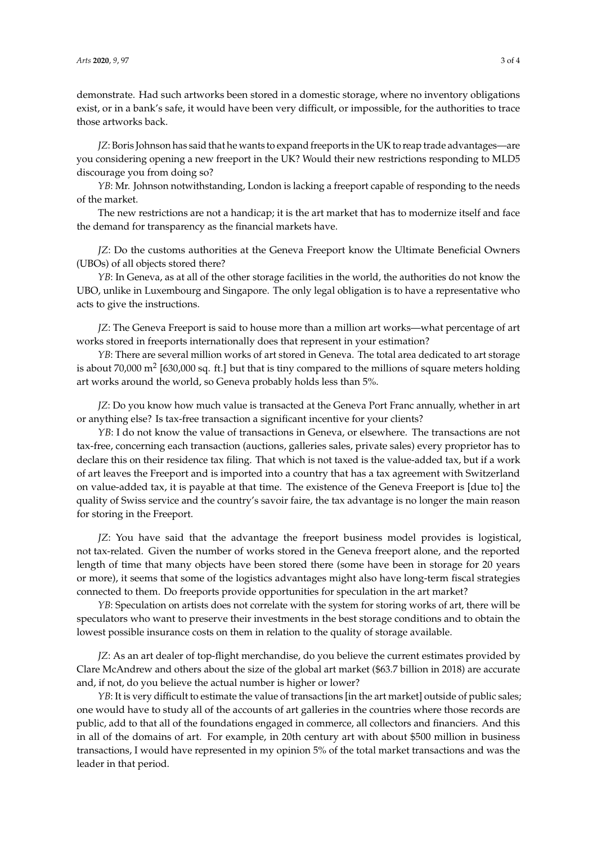demonstrate. Had such artworks been stored in a domestic storage, where no inventory obligations exist, or in a bank's safe, it would have been very difficult, or impossible, for the authorities to trace those artworks back.

*JZ*: Boris Johnson has said that he wants to expand freeports in the UK to reap trade advantages—are you considering opening a new freeport in the UK? Would their new restrictions responding to MLD5 discourage you from doing so?

*YB*: Mr. Johnson notwithstanding, London is lacking a freeport capable of responding to the needs of the market.

The new restrictions are not a handicap; it is the art market that has to modernize itself and face the demand for transparency as the financial markets have.

*JZ*: Do the customs authorities at the Geneva Freeport know the Ultimate Beneficial Owners (UBOs) of all objects stored there?

*YB*: In Geneva, as at all of the other storage facilities in the world, the authorities do not know the UBO, unlike in Luxembourg and Singapore. The only legal obligation is to have a representative who acts to give the instructions.

*JZ*: The Geneva Freeport is said to house more than a million art works—what percentage of art works stored in freeports internationally does that represent in your estimation?

*YB*: There are several million works of art stored in Geneva. The total area dedicated to art storage is about 70,000 m<sup>2</sup> [630,000 sq. ft.] but that is tiny compared to the millions of square meters holding art works around the world, so Geneva probably holds less than 5%.

*JZ*: Do you know how much value is transacted at the Geneva Port Franc annually, whether in art or anything else? Is tax-free transaction a significant incentive for your clients?

*YB*: I do not know the value of transactions in Geneva, or elsewhere. The transactions are not tax-free, concerning each transaction (auctions, galleries sales, private sales) every proprietor has to declare this on their residence tax filing. That which is not taxed is the value-added tax, but if a work of art leaves the Freeport and is imported into a country that has a tax agreement with Switzerland on value-added tax, it is payable at that time. The existence of the Geneva Freeport is [due to] the quality of Swiss service and the country's savoir faire, the tax advantage is no longer the main reason for storing in the Freeport.

*JZ*: You have said that the advantage the freeport business model provides is logistical, not tax-related. Given the number of works stored in the Geneva freeport alone, and the reported length of time that many objects have been stored there (some have been in storage for 20 years or more), it seems that some of the logistics advantages might also have long-term fiscal strategies connected to them. Do freeports provide opportunities for speculation in the art market?

*YB*: Speculation on artists does not correlate with the system for storing works of art, there will be speculators who want to preserve their investments in the best storage conditions and to obtain the lowest possible insurance costs on them in relation to the quality of storage available.

*JZ*: As an art dealer of top-flight merchandise, do you believe the current estimates provided by Clare McAndrew and others about the size of the global art market (\$63.7 billion in 2018) are accurate and, if not, do you believe the actual number is higher or lower?

*YB*: It is very difficult to estimate the value of transactions [in the art market] outside of public sales; one would have to study all of the accounts of art galleries in the countries where those records are public, add to that all of the foundations engaged in commerce, all collectors and financiers. And this in all of the domains of art. For example, in 20th century art with about \$500 million in business transactions, I would have represented in my opinion 5% of the total market transactions and was the leader in that period.